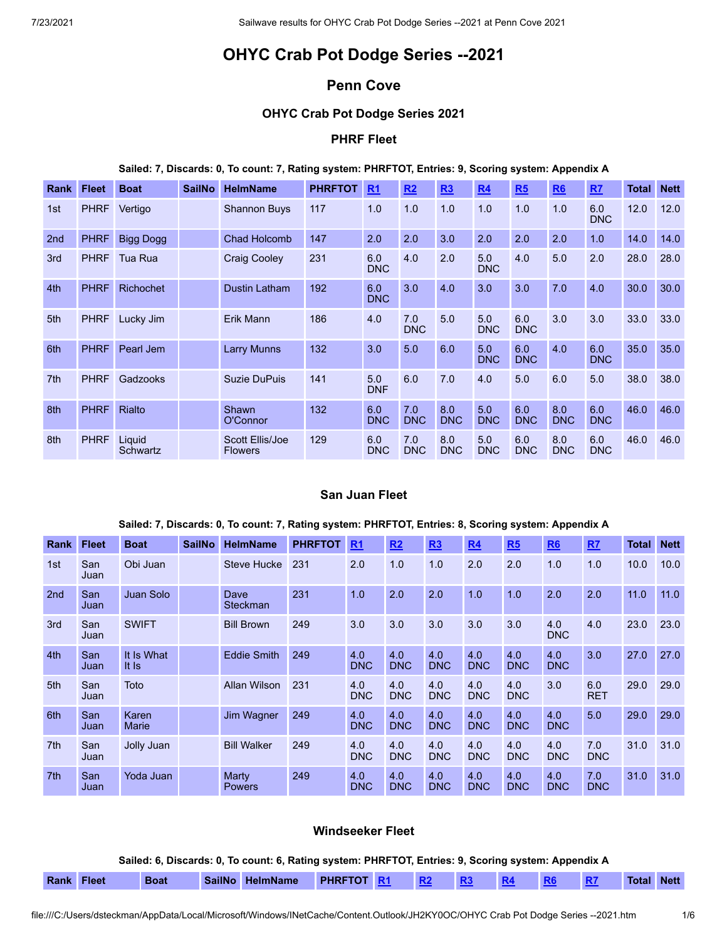# **OHYC Crab Pot Dodge Series --2021**

# **Penn Cove**

# **OHYC Crab Pot Dodge Series 2021**

### **PHRF Fleet**

### **Sailed: 7, Discards: 0, To count: 7, Rating system: PHRFTOT, Entries: 9, Scoring system: Appendix A**

| Rank            | <b>Fleet</b> | <b>Boat</b>        | <b>SailNo</b> | <b>HelmName</b>                   | <b>PHRFTOT</b> | R <sub>1</sub>    | R2                | R3                | R <sub>4</sub>    | R5                | R6                | RZ                | Total | <b>Nett</b> |
|-----------------|--------------|--------------------|---------------|-----------------------------------|----------------|-------------------|-------------------|-------------------|-------------------|-------------------|-------------------|-------------------|-------|-------------|
| 1st             | <b>PHRF</b>  | Vertigo            |               | <b>Shannon Buys</b>               | 117            | 1.0               | 1.0               | 1.0               | 1.0               | 1.0               | 1.0               | 6.0<br><b>DNC</b> | 12.0  | 12.0        |
| 2 <sub>nd</sub> | <b>PHRF</b>  | <b>Bigg Dogg</b>   |               | <b>Chad Holcomb</b>               | 147            | 2.0               | 2.0               | 3.0               | 2.0               | 2.0               | 2.0               | 1.0               | 14.0  | 14.0        |
| 3rd             | <b>PHRF</b>  | Tua Rua            |               | <b>Craig Cooley</b>               | 231            | 6.0<br><b>DNC</b> | 4.0               | 2.0               | 5.0<br><b>DNC</b> | 4.0               | 5.0               | 2.0               | 28.0  | 28.0        |
| 4th             | <b>PHRF</b>  | <b>Richochet</b>   |               | Dustin Latham                     | 192            | 6.0<br><b>DNC</b> | 3.0               | 4.0               | 3.0               | 3.0               | 7.0               | 4.0               | 30.0  | 30.0        |
| 5th             | <b>PHRF</b>  | Lucky Jim          |               | Erik Mann                         | 186            | 4.0               | 7.0<br><b>DNC</b> | 5.0               | 5.0<br><b>DNC</b> | 6.0<br><b>DNC</b> | 3.0               | 3.0               | 33.0  | 33.0        |
| 6th             | <b>PHRF</b>  | Pearl Jem          |               | <b>Larry Munns</b>                | 132            | 3.0               | 5.0               | 6.0               | 5.0<br><b>DNC</b> | 6.0<br><b>DNC</b> | 4.0               | 6.0<br><b>DNC</b> | 35.0  | 35.0        |
| 7th             | <b>PHRF</b>  | Gadzooks           |               | Suzie DuPuis                      | 141            | 5.0<br><b>DNF</b> | 6.0               | 7.0               | 4.0               | 5.0               | 6.0               | 5.0               | 38.0  | 38.0        |
| 8th             | <b>PHRF</b>  | <b>Rialto</b>      |               | Shawn<br>O'Connor                 | 132            | 6.0<br><b>DNC</b> | 7.0<br><b>DNC</b> | 8.0<br><b>DNC</b> | 5.0<br><b>DNC</b> | 6.0<br><b>DNC</b> | 8.0<br><b>DNC</b> | 6.0<br><b>DNC</b> | 46.0  | 46.0        |
| 8th             | <b>PHRF</b>  | Liquid<br>Schwartz |               | Scott Ellis/Joe<br><b>Flowers</b> | 129            | 6.0<br><b>DNC</b> | 7.0<br><b>DNC</b> | 8.0<br><b>DNC</b> | 5.0<br><b>DNC</b> | 6.0<br><b>DNC</b> | 8.0<br><b>DNC</b> | 6.0<br><b>DNC</b> | 46.0  | 46.0        |

### **San Juan Fleet**

| <b>Rank</b>     | <b>Fleet</b> | <b>Boat</b>         | <b>SailNo</b> | <b>HelmName</b>         | <b>PHRFTOT</b> | R <sub>1</sub>    | R2                | R3                | R4                | R5                | R6                | <u>R7</u>         | Total | <b>Nett</b> |
|-----------------|--------------|---------------------|---------------|-------------------------|----------------|-------------------|-------------------|-------------------|-------------------|-------------------|-------------------|-------------------|-------|-------------|
| 1st             | San<br>Juan  | Obi Juan            |               | <b>Steve Hucke</b>      | 231            | 2.0               | 1.0               | 1.0               | 2.0               | 2.0               | 1.0               | 1.0               | 10.0  | 10.0        |
| 2 <sub>nd</sub> | San<br>Juan  | <b>Juan Solo</b>    |               | Dave<br><b>Steckman</b> | 231            | 1.0               | 2.0               | 2.0               | 1.0               | 1.0               | 2.0               | 2.0               | 11.0  | 11.0        |
| 3rd             | San<br>Juan  | <b>SWIFT</b>        |               | <b>Bill Brown</b>       | 249            | 3.0               | 3.0               | 3.0               | 3.0               | 3.0               | 4.0<br><b>DNC</b> | 4.0               | 23.0  | 23.0        |
| 4th             | San<br>Juan  | It Is What<br>It Is |               | <b>Eddie Smith</b>      | 249            | 4.0<br><b>DNC</b> | 4.0<br><b>DNC</b> | 4.0<br><b>DNC</b> | 4.0<br><b>DNC</b> | 4.0<br><b>DNC</b> | 4.0<br><b>DNC</b> | 3.0               | 27.0  | 27.0        |
| 5th             | San<br>Juan  | Toto                |               | Allan Wilson            | 231            | 4.0<br><b>DNC</b> | 4.0<br><b>DNC</b> | 4.0<br><b>DNC</b> | 4.0<br><b>DNC</b> | 4.0<br><b>DNC</b> | 3.0               | 6.0<br><b>RET</b> | 29.0  | 29.0        |
| 6th             | San<br>Juan  | Karen<br>Marie      |               | Jim Wagner              | 249            | 4.0<br><b>DNC</b> | 4.0<br><b>DNC</b> | 4.0<br><b>DNC</b> | 4.0<br><b>DNC</b> | 4.0<br><b>DNC</b> | 4.0<br><b>DNC</b> | 5.0               | 29.0  | 29.0        |
| 7 <sup>th</sup> | San<br>Juan  | Jolly Juan          |               | <b>Bill Walker</b>      | 249            | 4.0<br><b>DNC</b> | 4.0<br><b>DNC</b> | 4.0<br><b>DNC</b> | 4.0<br><b>DNC</b> | 4.0<br><b>DNC</b> | 4.0<br><b>DNC</b> | 7.0<br><b>DNC</b> | 31.0  | 31.0        |
| 7 <sup>th</sup> | San<br>Juan  | Yoda Juan           |               | Marty<br><b>Powers</b>  | 249            | 4.0<br><b>DNC</b> | 4.0<br><b>DNC</b> | 4.0<br><b>DNC</b> | 4.0<br><b>DNC</b> | 4.0<br><b>DNC</b> | 4.0<br><b>DNC</b> | 7.0<br><b>DNC</b> | 31.0  | 31.0        |

### **Sailed: 7, Discards: 0, To count: 7, Rating system: PHRFTOT, Entries: 8, Scoring system: Appendix A**

### **Windseeker Fleet**

**Sailed: 6, Discards: 0, To count: 6, Rating system: PHRFTOT, Entries: 9, Scoring system: Appendix A**

| ≀ank | Fleet |
|------|-------|
|      |       |

**Rank Fleet Boat SailNo HelmName PHRFTOT [R1](file:///C:/Users/Byron/AppData/Local/Temp/blwAC53.htm#r1windseeker) [R2](file:///C:/Users/Byron/AppData/Local/Temp/blwAC53.htm#r2windseeker) [R3](file:///C:/Users/Byron/AppData/Local/Temp/blwAC53.htm#r3windseeker) [R4](file:///C:/Users/Byron/AppData/Local/Temp/blwAC53.htm#r4windseeker) [R6](file:///C:/Users/Byron/AppData/Local/Temp/blwAC53.htm#r6windseeker) [R7](file:///C:/Users/Byron/AppData/Local/Temp/blwAC53.htm#r7windseeker) Total Nett**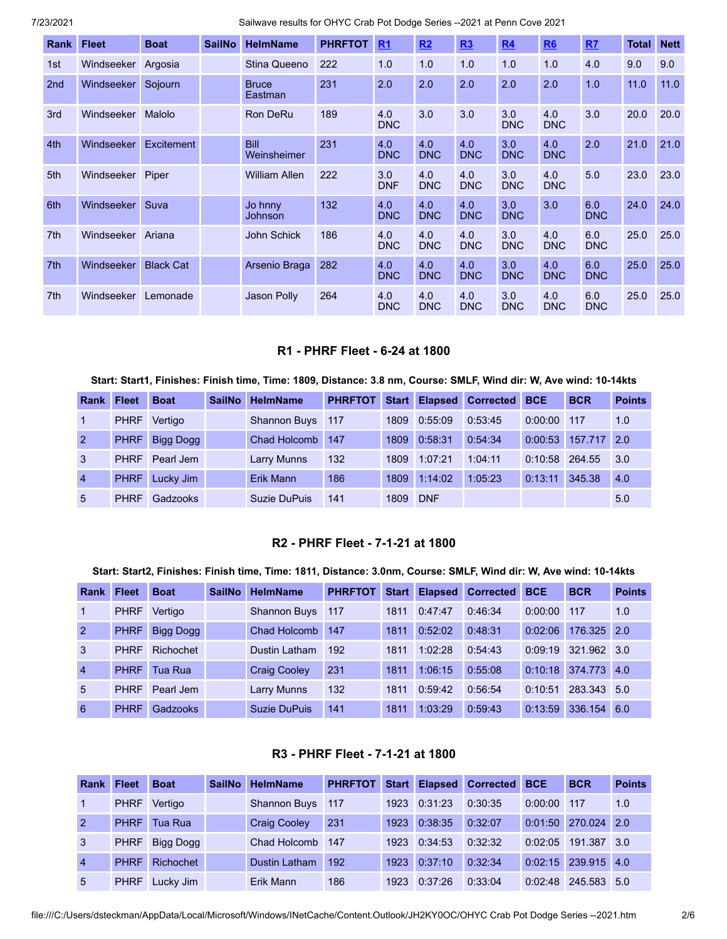| Rank            | <b>Fleet</b> | <b>Boat</b>      | <b>SailNo</b> | <b>HelmName</b>            | <b>PHRFTOT</b> | R <sub>1</sub>    | R2                | R3                | R <sub>4</sub>    | R6                | RZ                | <b>Total</b> | <b>Nett</b> |
|-----------------|--------------|------------------|---------------|----------------------------|----------------|-------------------|-------------------|-------------------|-------------------|-------------------|-------------------|--------------|-------------|
| 1st             | Windseeker   | Argosia          |               | Stina Queeno               | 222            | 1.0               | 1.0               | 1.0               | 1.0               | 1.0               | 4.0               | 9.0          | 9.0         |
| 2 <sub>nd</sub> | Windseeker   | Sojourn          |               | <b>Bruce</b><br>Eastman    | 231            | 2.0               | 2.0               | 2.0               | 2.0               | 2.0               | 1.0               | 11.0         | 11.0        |
| 3rd             | Windseeker   | Malolo           |               | <b>Ron DeRu</b>            | 189            | 4.0<br><b>DNC</b> | 3.0               | 3.0               | 3.0<br><b>DNC</b> | 4.0<br><b>DNC</b> | 3.0               | 20.0         | 20.0        |
| 4th             | Windseeker   | Excitement       |               | <b>Bill</b><br>Weinsheimer | 231            | 4.0<br><b>DNC</b> | 4.0<br><b>DNC</b> | 4.0<br><b>DNC</b> | 3.0<br><b>DNC</b> | 4.0<br><b>DNC</b> | 2.0               | 21.0         | 21.0        |
| 5th             | Windseeker   | Piper            |               | <b>William Allen</b>       | 222            | 3.0<br><b>DNF</b> | 4.0<br><b>DNC</b> | 4.0<br><b>DNC</b> | 3.0<br><b>DNC</b> | 4.0<br><b>DNC</b> | 5.0               | 23.0         | 23.0        |
| 6th             | Windseeker   | Suva             |               | Jo hnny<br>Johnson         | 132            | 4.0<br><b>DNC</b> | 4.0<br><b>DNC</b> | 4.0<br><b>DNC</b> | 3.0<br><b>DNC</b> | 3.0               | 6.0<br><b>DNC</b> | 24.0         | 24.0        |
| 7th             | Windseeker   | Ariana           |               | John Schick                | 186            | 4.0<br><b>DNC</b> | 4.0<br><b>DNC</b> | 4.0<br><b>DNC</b> | 3.0<br><b>DNC</b> | 4.0<br><b>DNC</b> | 6.0<br><b>DNC</b> | 25.0         | 25.0        |
| 7th             | Windseeker   | <b>Black Cat</b> |               | Arsenio Braga              | 282            | 4.0<br><b>DNC</b> | 4.0<br><b>DNC</b> | 4.0<br><b>DNC</b> | 3.0<br><b>DNC</b> | 4.0<br><b>DNC</b> | 6.0<br><b>DNC</b> | 25.0         | 25.0        |
| 7th             | Windseeker   | Lemonade         |               | Jason Polly                | 264            | 4.0<br><b>DNC</b> | 4.0<br><b>DNC</b> | 4.0<br><b>DNC</b> | 3.0<br><b>DNC</b> | 4.0<br><b>DNC</b> | 6.0<br><b>DNC</b> | 25.0         | 25.0        |

### **R1 - PHRF Fleet - 6-24 at 1800**

Start: Start1, Finishes: Finish time, Time: 1809, Distance: 3.8 nm, Course: SMLF, Wind dir: W, Ave wind: 10-14kts

| Rank           | <b>Fleet</b> | <b>Boat</b>      | <b>SailNo</b> | <b>HelmName</b>     | <b>PHRFTOT</b> | <b>Start</b> | <b>Elapsed</b> | <b>Corrected</b> | <b>BCE</b> | <b>BCR</b> | <b>Points</b> |
|----------------|--------------|------------------|---------------|---------------------|----------------|--------------|----------------|------------------|------------|------------|---------------|
|                | <b>PHRF</b>  | Vertigo          |               | <b>Shannon Buys</b> | 117            | 1809         | 0:55:09        | 0:53:45          | 0:00:00    | 117        | 1.0           |
| 2              | <b>PHRF</b>  | <b>Bigg Dogg</b> |               | Chad Holcomb        | 147            | 1809         | 0:58:31        | 0:54:34          | 0:00:53    | 157.717    | 2.0           |
| 3              | <b>PHRF</b>  | Pearl Jem        |               | Larry Munns         | 132            | 1809         | 1:07:21        | 1:04:11          | 0:10:58    | 264.55     | 3.0           |
| $\overline{4}$ | <b>PHRF</b>  | Lucky Jim        |               | Erik Mann           | 186            | 1809         | 1:14:02        | 1:05:23          | 0:13:11    | 345.38     | 4.0           |
| 5              | <b>PHRF</b>  | Gadzooks         |               | Suzie DuPuis        | 141            | 1809         | <b>DNF</b>     |                  |            |            | 5.0           |

# **R2 - PHRF Fleet - 7-1-21 at 1800**

#### Start: Start2, Finishes: Finish time, Time: 1811, Distance: 3.0nm, Course: SMLF, Wind dir: W, Ave wind: 10-14kts

| <b>Rank</b>    | <b>Fleet</b> | <b>Boat</b> | <b>SailNo</b> | <b>HelmName</b>     | <b>PHRFTOT</b> | <b>Start</b> | <b>Elapsed</b> | <b>Corrected</b> | <b>BCE</b> | <b>BCR</b>  | <b>Points</b> |
|----------------|--------------|-------------|---------------|---------------------|----------------|--------------|----------------|------------------|------------|-------------|---------------|
| $\mathbf 1$    | <b>PHRF</b>  | Vertigo     |               | <b>Shannon Buys</b> | 117            | 1811         | 0:47:47        | 0:46:34          | 0:00:00    | 117         | 1.0           |
| 2              | <b>PHRF</b>  | Bigg Dogg   |               | Chad Holcomb        | 147            | 1811         | 0:52:02        | 0:48:31          | 0:02:06    | 176.325     | 2.0           |
| 3              | <b>PHRF</b>  | Richochet   |               | Dustin Latham       | 192            | 1811         | 1:02:28        | 0:54:43          | 0:09:19    | 321.962 3.0 |               |
| $\overline{4}$ | <b>PHRF</b>  | Tua Rua     |               | <b>Craig Cooley</b> | 231            | 1811         | 1:06:15        | 0:55:08          | 0:10:18    | 374,773     | 4.0           |
| $5^{\circ}$    | <b>PHRF</b>  | Pearl Jem   |               | <b>Larry Munns</b>  | 132            | 1811         | 0:59:42        | 0:56:54          | 0:10:51    | 283.343     | 5.0           |
| 6              | <b>PHRF</b>  | Gadzooks    |               | <b>Suzie DuPuis</b> | 141            | 1811         | 1:03:29        | 0:59:43          | 0:13:59    | 336.154     | 6.0           |

### **R3 - PHRF Fleet - 7-1-21 at 1800**

| <b>Rank</b>    | <b>Fleet</b> | <b>Boat</b> | <b>SailNo</b> | <b>HelmName</b>      | <b>PHRFTOT</b> | <b>Start</b> | <b>Elapsed</b> | <b>Corrected</b> | <b>BCE</b> | <b>BCR</b>  | <b>Points</b> |
|----------------|--------------|-------------|---------------|----------------------|----------------|--------------|----------------|------------------|------------|-------------|---------------|
|                | <b>PHRF</b>  | Vertigo     |               | <b>Shannon Buys</b>  | 117            | 1923         | 0:31:23        | 0:30:35          | 0:00:00    | 117         | 1.0           |
| $\overline{2}$ | <b>PHRF</b>  | Tua Rual    |               | <b>Craig Cooley</b>  | 231            | 1923         | 0:38:35        | 0:32:07          | 0:01:50    | 270.024     | 2.0           |
| 3              | <b>PHRF</b>  | Bigg Dogg   |               | Chad Holcomb         | 147            | 1923         | 0:34:53        | 0:32:32          | 0:02:05    | 191.387     | $\sqrt{3.0}$  |
| $\overline{4}$ | <b>PHRF</b>  | Richochet   |               | <b>Dustin Latham</b> | 192            | 1923         | 0:37:10        | 0:32:34          | 0:02:15    | 239.915 4.0 |               |
| 5              | <b>PHRF</b>  | Lucky Jim   |               | Erik Mann            | 186            | 1923         | 0:37:26        | 0:33:04          | 0:02:48    | 245.583     | 5.0           |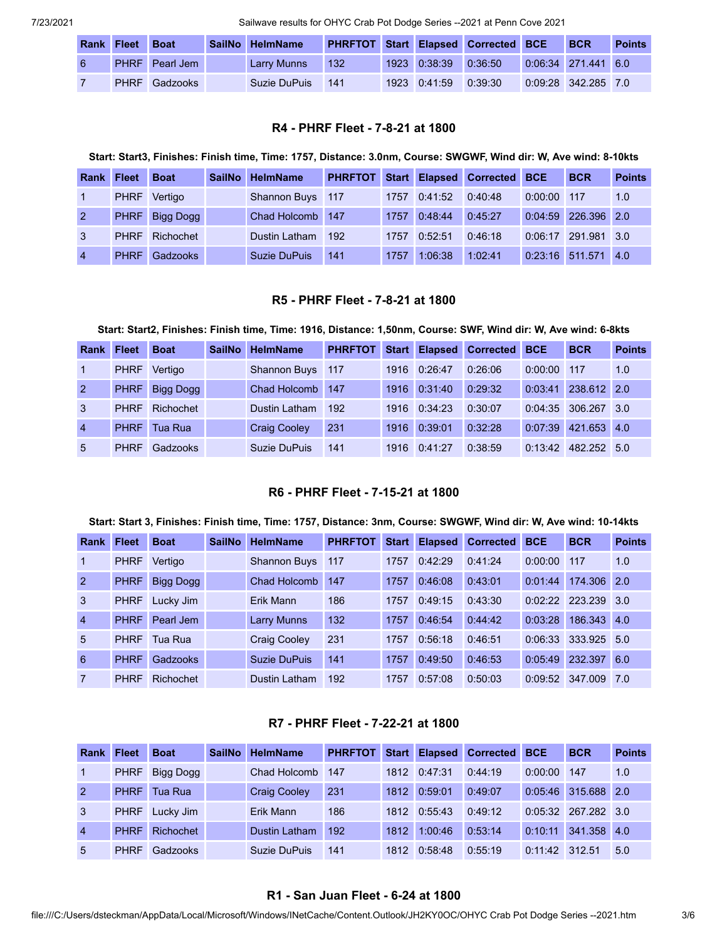| <b>Rank Fleet</b> | <b>Boat</b>      | SailNo HelmName |     |              | <b>PHRFTOT Start Elapsed Corrected BCE</b> | <b>BCR</b>            | <b>Points</b> |
|-------------------|------------------|-----------------|-----|--------------|--------------------------------------------|-----------------------|---------------|
|                   | PHRF Pearl Jem 7 | Larry Munns     | 132 | 1923 0:38:39 | 0:36:50                                    | $0.06:34$ 271.441 6.0 |               |
|                   | PHRF Gadzooks    | Suzie DuPuis    | 141 | 1923 0:41:59 | 0:39:30                                    | $0:09:28$ 342.285 7.0 |               |

### **R4 - PHRF Fleet - 7-8-21 at 1800**

#### Start: Start3, Finishes: Finish time, Time: 1757, Distance: 3.0nm, Course: SWGWF, Wind dir: W, Ave wind: 8-10kts

| Rank           | <b>Fleet</b> | <b>Boat</b> | <b>SailNo</b> | <b>HelmName</b>     | <b>PHRFTOT</b> | <b>Start</b> |         | <b>Elapsed Corrected</b> | <b>BCE</b> | <b>BCR</b>  | <b>Points</b> |
|----------------|--------------|-------------|---------------|---------------------|----------------|--------------|---------|--------------------------|------------|-------------|---------------|
|                | <b>PHRF</b>  | Vertigo     |               | Shannon Buys 117    |                | 1757         | 0:41:52 | 0:40:48                  | 0:00:00    | 117         | 1.0           |
| $\overline{2}$ | <b>PHRF</b>  | Bigg Dogg   |               | <b>Chad Holcomb</b> | 147            | 1757         | 0:48:44 | 0:45:27                  | 0:04:59    | 226.396 2.0 |               |
| $\mathbf{3}$   | <b>PHRF</b>  | Richochet   |               | Dustin Latham       | 192            | 1757         | 0:52:51 | 0:46:18                  | 0:06:17    | 291.981 3.0 |               |
| $\overline{4}$ | <b>PHRF</b>  | Gadzooks    |               | <b>Suzie DuPuis</b> | 141            | 1757         | 1:06:38 | 1:02:41                  | 0:23:16    | 511.571     | 4.0           |

#### **R5 - PHRF Fleet - 7-8-21 at 1800**

### Start: Start2, Finishes: Finish time, Time: 1916, Distance: 1,50nm, Course: SWF, Wind dir: W, Ave wind: 6-8kts

| <b>Rank</b>    | <b>Fleet</b> | <b>Boat</b>      | <b>SailNo</b> | <b>HelmName</b>     | <b>PHRFTOT</b> |      | Start Elapsed | Corrected | <b>BCE</b> | <b>BCR</b>  | <b>Points</b> |
|----------------|--------------|------------------|---------------|---------------------|----------------|------|---------------|-----------|------------|-------------|---------------|
|                | <b>PHRF</b>  | Vertigo          |               | <b>Shannon Buys</b> | 117            | 1916 | 0:26:47       | 0:26:06   | 0:00:00    | 117         | 1.0           |
| 2              | <b>PHRF</b>  | <b>Bigg Dogg</b> |               | Chad Holcomb        | 147            | 1916 | 0:31:40       | 0:29:32   | 0:03:41    | 238.612 2.0 |               |
| 3              | <b>PHRF</b>  | Richochet        |               | Dustin Latham       | 192            | 1916 | 0:34:23       | 0:30:07   | 0:04:35    | 306.267     | 3.0           |
| $\overline{4}$ | <b>PHRF</b>  | Tua Rua          |               | <b>Craig Cooley</b> | 231            | 1916 | 0:39:01       | 0:32:28   | 0:07:39    | 421.653 4.0 |               |
| $\overline{5}$ | <b>PHRF</b>  | Gadzooks         |               | <b>Suzie DuPuis</b> | 141            | 1916 | 0:41:27       | 0:38:59   | 0:13:42    | 482.252     | 5.0           |

### **R6 - PHRF Fleet - 7-15-21 at 1800**

#### Start: Start 3, Finishes: Finish time, Time: 1757, Distance: 3nm, Course: SWGWF, Wind dir: W, Ave wind: 10-14kts

| <b>Rank</b>    | <b>Fleet</b> | <b>Boat</b> | <b>SailNo</b> | <b>HelmName</b>     | <b>PHRFTOT</b> | <b>Start</b> | <b>Elapsed</b> | <b>Corrected</b> | <b>BCE</b> | <b>BCR</b>  | <b>Points</b> |
|----------------|--------------|-------------|---------------|---------------------|----------------|--------------|----------------|------------------|------------|-------------|---------------|
| $\mathbf{1}$   | <b>PHRF</b>  | Vertigo     |               | <b>Shannon Buys</b> | 117            | 1757         | 0:42:29        | 0:41:24          | 0:00:00    | 117         | 1.0           |
| $\overline{2}$ | <b>PHRF</b>  | Bigg Dogg   |               | <b>Chad Holcomb</b> | 147            | 1757         | 0:46:08        | 0:43:01          | 0:01:44    | 174,306 2.0 |               |
| 3              | <b>PHRF</b>  | Lucky Jim   |               | Erik Mann           | 186            | 1757         | 0:49:15        | 0:43:30          | 0:02:22    | 223.239     | 3.0           |
| $\overline{4}$ | <b>PHRF</b>  | Pearl Jem   |               | <b>Larry Munns</b>  | 132            | 1757         | 0:46:54        | 0:44:42          | 0:03:28    | 186.343     | 4.0           |
| 5              | <b>PHRF</b>  | Tua Rua     |               | <b>Craig Cooley</b> | 231            | 1757         | 0:56:18        | 0:46:51          | 0:06:33    | 333.925     | 5.0           |
| 6              | <b>PHRF</b>  | Gadzooks    |               | Suzie DuPuis        | 141            | 1757         | 0:49:50        | 0:46:53          | 0:05:49    | 232.397     | 6.0           |
| $\overline{7}$ | <b>PHRF</b>  | Richochet   |               | Dustin Latham       | 192            | 1757         | 0:57:08        | 0:50:03          | 0:09:52    | 347,009     | <b>7.0</b>    |

### **R7 - PHRF Fleet - 7-22-21 at 1800**

| Rank           | <b>Fleet</b> | <b>Boat</b> | <b>SailNo</b> | <b>HelmName</b>      | <b>PHRFTOT</b> | Start | <b>Elapsed</b>       | <b>Corrected</b> | <b>BCE</b> | <b>BCR</b>      | <b>Points</b> |
|----------------|--------------|-------------|---------------|----------------------|----------------|-------|----------------------|------------------|------------|-----------------|---------------|
|                | <b>PHRF</b>  | Bigg Dogg   |               | Chad Holcomb         | 147            |       | 1812 0:47:31         | 0:44:19          | 0:00:00    | 147             | 1.0           |
| $\overline{2}$ | <b>PHRF</b>  | Tua Rua     |               | <b>Craig Cooley</b>  | 231            |       | 1812 0:59:01         | 0:49:07          |            | 0:05:46 315.688 | $\sqrt{2.0}$  |
| 3              | <b>PHRF</b>  | Lucky Jim   |               | Erik Mann            | 186            |       | $1812 \quad 0.55.43$ | 0:49:12          | 0:05:32    | 267.282 3.0     |               |
| $\overline{4}$ | <b>PHRF</b>  | Richochet   |               | <b>Dustin Latham</b> | 192            | 1812  | 1:00:46              | 0:53:14          | 0:10:11    | 341.358         | 4.0           |
| $5^{\circ}$    | <b>PHRF</b>  | Gadzooks    |               | Suzie DuPuis         | 141            |       | 1812 0:58:48         | 0:55:19          | 0:11:42    | 312.51          | 5.0           |

#### **R1 - San Juan Fleet - 6-24 at 1800**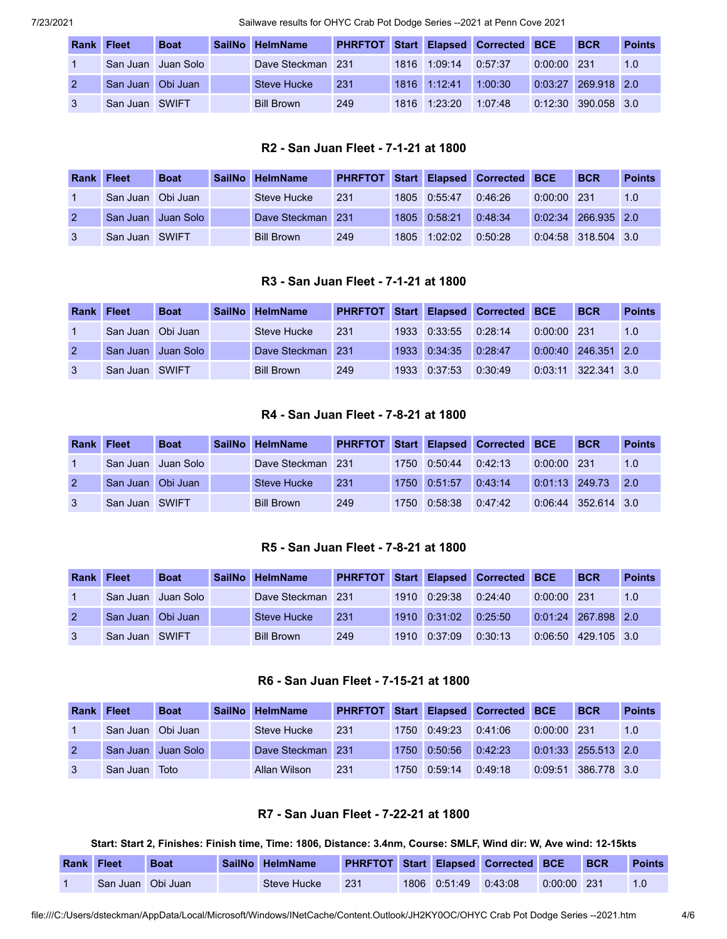| <b>Rank Fleet</b> |                   | <b>Boat</b> | SailNo HelmName    | <b>PHRFTOT Start Elapsed Corrected</b> |              |         | <b>BCE</b> | <b>BCR</b>          | <b>Points</b> |
|-------------------|-------------------|-------------|--------------------|----------------------------------------|--------------|---------|------------|---------------------|---------------|
|                   | San Juan          | ⊟Juan Solo  | Dave Steckman 231  |                                        | 1816 1:09:14 | 0:57:37 | 0:00:00    | $\sqrt{231}$        | 1.0           |
|                   | San Juan Obi Juan |             | <b>Steve Hucke</b> | 231                                    | 1816 1:12:41 | 1:00:30 | 0:03:27    | $'$ 269.918 2.0     |               |
|                   | San Juan SWIFT    |             | <b>Bill Brown</b>  | 249                                    | 1816 1:23:20 | 1:07:48 |            | 0:12:30 390.058 3.0 |               |

### **R2 - San Juan Fleet - 7-1-21 at 1800**

| <b>Rank Fleet</b> |                   | <b>Boat</b>        | SailNo HelmName   | <b>PHRFTOT</b> |      |              | Start Elapsed Corrected | <b>BCE</b> | <b>BCR</b>          | <b>Points</b> |
|-------------------|-------------------|--------------------|-------------------|----------------|------|--------------|-------------------------|------------|---------------------|---------------|
|                   | San Juan Obi Juan |                    | Steve Hucke       | 231            |      | 1805 0:55:47 | 0:46:26                 | 0:00:00    | -231                | 1.0           |
|                   |                   | San Juan Juan Solo | Dave Steckman 231 |                |      | 1805 0:58:21 | 0:48:34                 | 0:02:34    | 266.935 2.0         |               |
|                   | San Juan SWIFT    |                    | <b>Bill Brown</b> | 249            | 1805 | 1:02:02      | 0:50:28                 |            | 0:04:58 318.504 3.0 |               |

# **R3 - San Juan Fleet - 7-1-21 at 1800**

| <b>Rank Fleet</b> |                   | <b>Boat</b>        | SailNo HelmName   | <b>PHRFTOT</b> |              | Start Elapsed Corrected BCE |               | <b>BCR</b>            | <b>Points</b> |
|-------------------|-------------------|--------------------|-------------------|----------------|--------------|-----------------------------|---------------|-----------------------|---------------|
|                   | San Juan Obi Juan |                    | Steve Hucke       | 231            | 1933 0:33:55 | 0:28:14                     | $0:00:00$ 231 |                       | 1.0           |
|                   |                   | San Juan Juan Solo | Dave Steckman 231 |                | 1933 0:34:35 | 0:28:47                     |               | $0:00:40$ 246.351 2.0 |               |
|                   | San Juan SWIFT    |                    | <b>Bill Brown</b> | 249            | 1933 0:37:53 | 0:30:49                     |               | $0:03:11$ 322.341 3.0 |               |

### **R4 - San Juan Fleet - 7-8-21 at 1800**

| <b>Rank Fleet</b> |                   | <b>Boat</b>          | SailNo HelmName   |     |      |              | <b>PHRFTOT Start Elapsed Corrected BCE</b> |         | <b>BCR</b>           | <b>Points</b> |
|-------------------|-------------------|----------------------|-------------------|-----|------|--------------|--------------------------------------------|---------|----------------------|---------------|
|                   |                   | San Juan I Juan Solo | Dave Steckman 231 |     |      | 1750 0:50:44 | 0:42:13                                    | 0:00:00 | 231                  | 1.0           |
|                   | San Juan Obi Juan |                      | Steve Hucke       | 231 |      | 1750 0:51:57 | 0:43:14                                    |         | $0:01:13$ 249.73 2.0 |               |
|                   | San Juan SWIFT    |                      | <b>Bill Brown</b> | 249 | 1750 | 0.58.38      | 0:47:42                                    |         | 0:06:44 352.614 3.0  |               |

# **R5 - San Juan Fleet - 7-8-21 at 1800**

| <b>Rank Fleet</b> |                   | <b>Boat</b>        | SailNo HelmName   |     |              | <b>PHRFTOT Start Elapsed Corrected BCE</b> |               | <b>BCR</b>          | <b>Points</b> |
|-------------------|-------------------|--------------------|-------------------|-----|--------------|--------------------------------------------|---------------|---------------------|---------------|
|                   |                   | San Juan Juan Solo | Dave Steckman 231 |     | 1910 0:29:38 | 0:24:40                                    | $0:00:00$ 231 |                     | 1.0           |
|                   | San Juan Obi Juan |                    | Steve Hucke       | 231 | 1910 0:31:02 | 0:25:50                                    |               | 0:01:24 267.898 2.0 |               |
|                   | San Juan SWIFT    |                    | <b>Bill Brown</b> | 249 | 1910 0:37:09 | 0:30:13                                    |               | 0:06:50 429.105 3.0 |               |

# **R6 - San Juan Fleet - 7-15-21 at 1800**

| Rank | <b>Fleet</b>      | <b>Boat</b>        | SailNo HelmName |      |              | <b>PHRFTOT Start Elapsed Corrected BCE</b> |               | <b>BCR</b>            | <b>Points</b> |
|------|-------------------|--------------------|-----------------|------|--------------|--------------------------------------------|---------------|-----------------------|---------------|
|      | San Juan Obi Juan |                    | Steve Hucke     | 231  | 1750 0:49:23 | 0:41:06                                    | $0:00:00$ 231 |                       | 1.0           |
|      |                   | San Juan Juan Solo | Dave Steckman   | -231 | 1750 0:50:56 | 0:42:23                                    |               | $0:01:33$ 255.513 2.0 |               |
|      | San Juan          | <b>Toto</b>        | Allan Wilson    | 231  | 1750 0:59:14 | 0:49:18                                    |               | 0:09:51 386.778 3.0   |               |

### **R7 - San Juan Fleet - 7-22-21 at 1800**

### Start: Start 2, Finishes: Finish time, Time: 1806, Distance: 3.4nm, Course: SMLF, Wind dir: W, Ave wind: 12-15kts

| <b>Rank Fleet</b> |                   | <b>Boat</b> | SailNo HelmName |     |                      | <b>PHRFTOT Start Elapsed Corrected BCE</b> |               | <b>BCR</b> | <b>Points</b> |
|-------------------|-------------------|-------------|-----------------|-----|----------------------|--------------------------------------------|---------------|------------|---------------|
|                   | San Juan Obi Juan |             | Steve Hucke     | 231 | 1806 0:51:49 0:43:08 |                                            | $0:00:00$ 231 |            | 1.0           |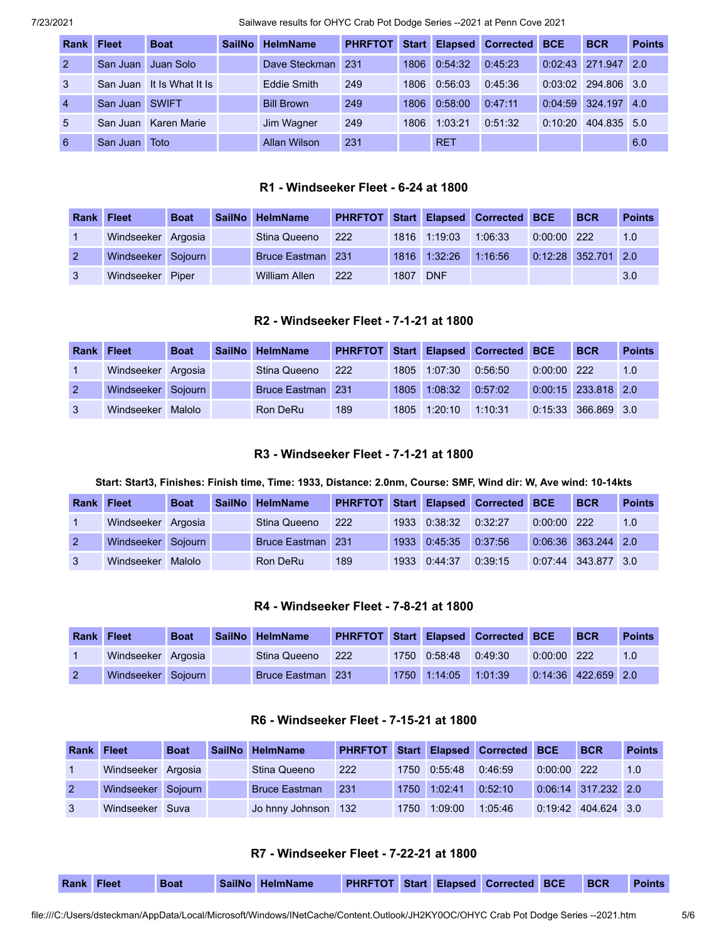| <b>Rank</b>    | <b>Fleet</b> | <b>Boat</b>               | <b>SailNo</b> | <b>HelmName</b>   | <b>PHRFTOT</b> | <b>Start</b> | <b>Elapsed</b> | <b>Corrected</b> | <b>BCE</b> | <b>BCR</b>      | <b>Points</b> |
|----------------|--------------|---------------------------|---------------|-------------------|----------------|--------------|----------------|------------------|------------|-----------------|---------------|
| $\mathcal{P}$  | San Juan     | Juan Solo                 |               | Dave Steckman     | -231           | 1806         | 0:54:32        | 0.45.23          |            | 0:02:43 271.947 | 2.0           |
| $\mathbf{3}$   |              | San Juan It Is What It Is |               | Eddie Smith       | 249            | 1806         | 0:56:03        | 0:45:36          | 0:03:02    | 294.806 3.0     |               |
| $\overline{4}$ | San Juan     | <b>SWIFT</b>              |               | <b>Bill Brown</b> | 249            | 1806         | 0:58:00        | 0:47:11          | 0:04:59    | $324.197$ 4.0   |               |
| $5^{\circ}$    |              | San Juan Karen Marie      |               | Jim Wagner        | 249            | 1806         | 1:03:21        | 0:51:32          | 0:10:20    | 404.835 5.0     |               |
| -6             | San Juan     | Toto                      |               | Allan Wilson      | 231            |              | <b>RET</b>     |                  |            |                 | 6.0           |

#### **R1 - Windseeker Fleet - 6-24 at 1800**

| Rank Fleet |                    | <b>Boat</b> | <b>SailNo</b> | <b>HelmName</b>          |     |      |              | PHRFTOT Start Elapsed Corrected BCE |               | <b>BCR</b>            | <b>Points</b> |
|------------|--------------------|-------------|---------------|--------------------------|-----|------|--------------|-------------------------------------|---------------|-----------------------|---------------|
|            | Windseeker Argosia |             |               | Stina Queeno             | 222 |      | 1816 1:19:03 | 1:06:33                             | $0:00:00$ 222 |                       | 1.0           |
|            | Windseeker Sojourn |             |               | <b>Bruce Eastman</b> 231 |     |      | 1816 1:32:26 | 1:16:56                             |               | $0:12:28$ 352.701 2.0 |               |
|            | Windseeker Piper   |             |               | <b>William Allen</b>     | 222 | 1807 | <b>DNF</b>   |                                     |               |                       | 3.0           |

# **R2 - Windseeker Fleet - 7-1-21 at 1800**

| <b>Rank Fleet</b> |                    | <b>Boat</b> | SailNo HelmName          |     |      |              | <b>PHRFTOT Start Elapsed Corrected BCE</b> |               | <b>BCR</b>            | <b>Points</b> |
|-------------------|--------------------|-------------|--------------------------|-----|------|--------------|--------------------------------------------|---------------|-----------------------|---------------|
|                   | Windseeker Argosia |             | Stina Queeno             | 222 |      | 1805 1:07:30 | 0:56:50                                    | $0:00:00$ 222 |                       | 1.0           |
| $\overline{2}$    | Windseeker Sojourn |             | <b>Bruce Eastman</b> 231 |     | 1805 | 1:08:32      | 0:57:02                                    |               | $0:00:15$ 233.818 2.0 |               |
|                   | Windseeker         | Malolo      | Ron DeRu                 | 189 |      | 1805 1:20:10 | 1:10:31                                    |               | 0:15:33 366.869 3.0   |               |

### **R3 - Windseeker Fleet - 7-1-21 at 1800**

### Start: Start3, Finishes: Finish time, Time: 1933, Distance: 2.0nm, Course: SMF, Wind dir: W, Ave wind: 10-14kts

| <b>Rank</b> | <b>Fleet</b>       | <b>Boat</b> | SailNo HelmName          | <b>PHRFTOT</b> | <b>Start</b> |         | <b>Elapsed Corrected</b> | <b>BCE</b> | <b>BCR</b>          | <b>Points</b> |
|-------------|--------------------|-------------|--------------------------|----------------|--------------|---------|--------------------------|------------|---------------------|---------------|
|             | Windseeker Argosia |             | Stina Queeno             | 222            | 1933         | 0:38:32 | 0:32:27                  | 0:00:00    | 222                 | 1.0           |
|             | Windseeker Sojourn |             | <b>Bruce Eastman</b> 231 |                | 1933         | 0:45:35 | 0:37:56                  |            | 0:06:36 363.244 2.0 |               |
|             | Windseeker         | Malolo      | Ron DeRu                 | 189            | 1933         | 0:44:37 | 0:39:15                  |            | 0:07:44 343.877 3.0 |               |

### **R4 - Windseeker Fleet - 7-8-21 at 1800**

| <b>Rank Fleet</b> |                    | <b>Boat</b> | SailNo HelmName          |     |              | PHRFTOT Start Elapsed Corrected BCE |               | <b>BCR</b>            | <b>Points</b> |
|-------------------|--------------------|-------------|--------------------------|-----|--------------|-------------------------------------|---------------|-----------------------|---------------|
|                   | Windseeker Argosia |             | Stina Queeno             | 222 | 1750 0:58:48 | 0:49:30                             | $0:00:00$ 222 |                       | 1.0           |
|                   | Windseeker Sojourn |             | <b>Bruce Eastman</b> 231 |     | 1750 1:14:05 | 1:01:39                             |               | $0:14:36$ 422.659 2.0 |               |

# **R6 - Windseeker Fleet - 7-15-21 at 1800**

| <b>Rank Fleet</b> |                    | <b>Boat</b> | <b>SailNo</b> | <b>HelmName</b>      |     |      |              | <b>PHRFTOT Start Elapsed Corrected BCE</b> |               | <b>BCR</b>            | <b>Points</b> |
|-------------------|--------------------|-------------|---------------|----------------------|-----|------|--------------|--------------------------------------------|---------------|-----------------------|---------------|
|                   | Windseeker Argosia |             |               | Stina Queeno         | 222 |      | 1750 0:55:48 | 0:46:59                                    | $0:00:00$ 222 |                       | 1.0           |
|                   | Windseeker Sojourn |             |               | <b>Bruce Eastman</b> | 231 | 1750 | 1:02:41      | 0:52:10                                    |               | $0.06:14$ 317.232 2.0 |               |
|                   | Windseeker Suva    |             |               | Jo hnny Johnson 132  |     | 1750 | 1:09:00      | 1:05:46                                    |               | 0:19:42 404.624 3.0   |               |

# **R7 - Windseeker Fleet - 7-22-21 at 1800**

| <b>BCR</b><br><b>PHRFTOT Start Elapsed Corrected BCE</b><br>SailNo HelmName<br><b>Rank Fleet</b><br><b>Points</b><br><b>Boat</b> |  |  |  |
|----------------------------------------------------------------------------------------------------------------------------------|--|--|--|
|----------------------------------------------------------------------------------------------------------------------------------|--|--|--|